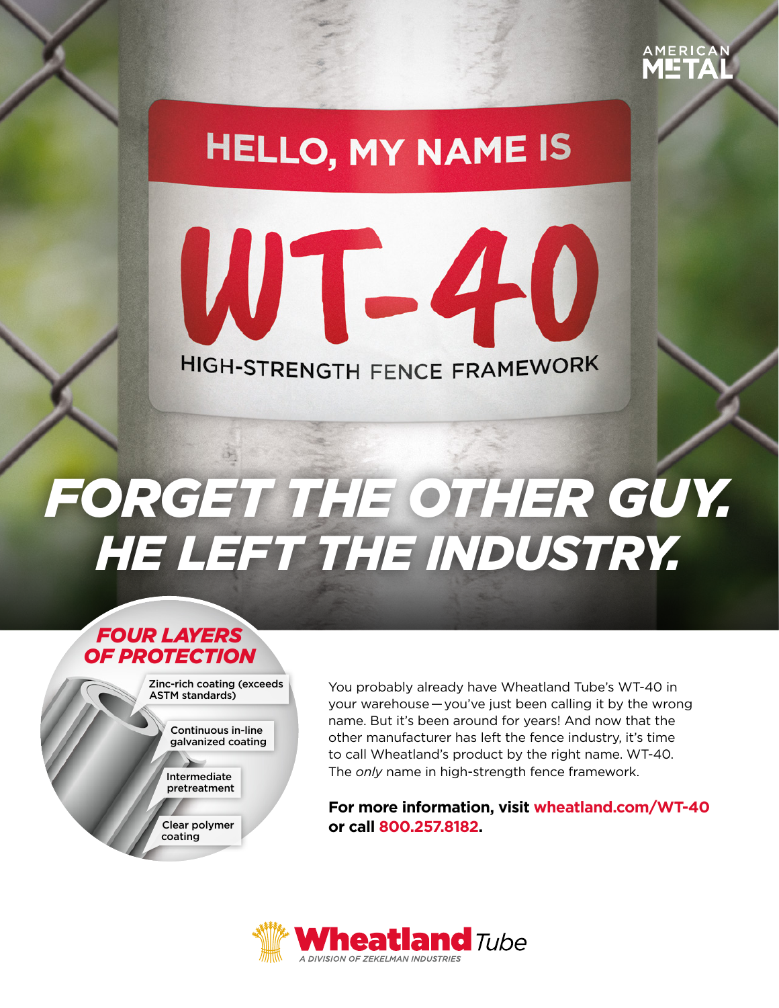

# **HELLO, MY NAME IS**

WT-40 HIGH-STRENGTH FENCE FRAMEWORK

# *FORGET THE OTHER GUY. HE LEFT THE INDUSTRY.*

## *FOUR LAYERS OF PROTECTION*

Zinc-rich coating (exceeds ASTM standards)

> Continuous in-line galvanized coating

Intermediate pretreatment

Clear polymer coating

You probably already have Wheatland Tube's WT-40 in your warehouse — you've just been calling it by the wrong name. But it's been around for years! And now that the other manufacturer has left the fence industry, it's time to call Wheatland's product by the right name. WT-40. The *only* name in high-strength fence framework.

**For more information, visit wheatland.com/WT-40 or call 800.257.8182.**